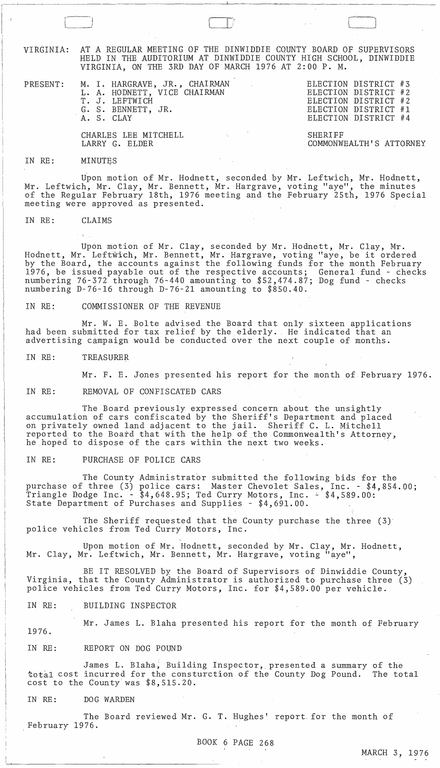VIRGINIA: AT A REGULAR MEETING OF THE DINWIDDIE CQUNTY BOARD OF SUPERVISORS HELD IN THE AUDITORIUM AT DINWIDDIE COUNTY HIGH SCHOOL, DINWIDDIE VIRGINIA, ON THE 3RD DAY OF MARCH 1976 AT 2:00 P. M.

PRESENT: M. I. HARGRAVE, JR., CHAIRMAN L. A. HODNETT, VICE CHAIRMAN T. J. LEFTWICH G. S. BENNETT, JR. A. S. CLAY

> CHARLES LEE MITCHELL LARRY G. ELDER

SHERIFF COMMONWEALTH'S ATTORNEY

ELECTION DISTRICT #3 ELECTION DISTRICT #2 ELECTION DISTRICT #2 ELECTION DISTRICT #1 ELECTION DISTRICT #4

 $\Box$ 

#### IN RE: MINUTES

Upon motion of Mr. Hodnett, seconded by Mr. Leftwich, Mr. Hodnett, Mr. Leftwich, Mr. Clay, Mr. Bennett, Mr. Hargrave, voting "aye", the minutes of the Regular February 18th, 1976 meeting and the February 25th, 1976 Special meeting were approved as presented.

IN RE: CLAIMS

Upon motion of Mr. Clay, seconded by Mr. Hodnett, Mr. Clay, Mr. upon motion of Mr. Clay, seconded by Mr. Hodnett, Mr. Clay, Mr.<br>Hodnett, Mr. Leftwich, Mr. Bennett, Mr. Hargrave, voting "aye, be it ordered by the Board, the accounts against the following funds for the month February 1976, be issued payable out of the respective accounts; General fund - checks numbering 76-372 through 76-440 amounting to \$52,474.87; Dog fund - checks numbering D-76-16 through D-76-21 amounting to \$850.40.

IN RE: COMMISSIONER OF THE REVENUE

Mr. W. E. Bolte advised the Board that only sixteen applications had been submitted for tax relief by the elderly. He indicated that an advertising campaign would be conducted over the next couple of months.

IN RE: TREASURER

Mr. F. E. Jones presented his report for the month of February 1976.

IN RE: REMOVAL OF CONFISCATED CARS

The Board previously expressed concern about the unsightly accumulation of cars confiscated by the Sheriff's Department and placed on privately owned land adjacent to the jail. Sheriff C. L. Mitchell reported to the Board that with the help of the Commonwealth's Attorney, he hoped to dispose of the cars within the next two weeks.

## IN RE: PURCHASE OF POLICE CARS

The County Administrator submitted the following bids for the purchase of three (3) police cars: Master Chevo1et Sales, Inc. - \$4,854.00; Triangle Dodge Inc. -  $$4,648.95$ ; Ted Curry Motors, Inc. -  $$4,589.00$ : State Department of Purchases and Supplies - \$4,691.00.

The Sheriff requested that the County purchase the three (3) police vehicles from Ted Curry Motors, Inc.

Upon motion of Mr. Hodnett, seconded by Mr. Clay, Mr. Hodnett, Mr. Clay, Mr. Leftwich, Mr. Bennett, Mr. Hargrave, voting "aye",

BE IT RESOLVED by the Board of Supervisors of Dinwiddie County, Virginia, that the County Administrator is authorized to purchase three (3) police vehicles from Ted Curry Motors, Inc. for \$4,589.00 per vehicle.

IN RE: BUILDING INSPECTOR

1976. Mr. James L. Blaha presented his report for the month of February

IN RE: REPORT ON DOG POUND

James L. Blaha; Building Inspector, presented a summary of the total cost incurred for the consturction of the County Dog Pound. The total cost to the County was \$8,515.20.

## IN RE: DOG WARDEN

 $\overline{\phantom{a}}$ 

The Board reviewed Mr. G. T. Hughes' report. for the month of ,February 1976.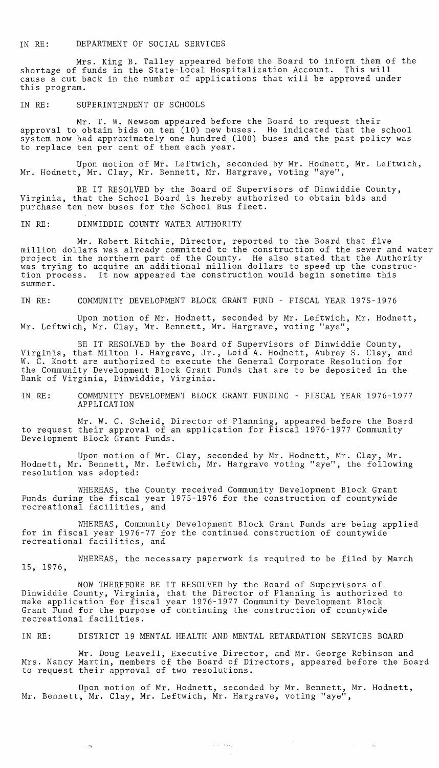# IN RE: DEPARTMENT OF SOCIAL SERVICES

Mrs. King B. Talley appeared before the Board to inform them of the shortage of funds in the State-Local Hospitalization Account. This will cause a cut back in the number of applications that will be approved under this program.

## IN RE: SUPERINTENDENT OF SCHOOLS

Mr. T. W. Newsom appeared before the Board to request their approval to obtain bids on ten (10) new buses. He indicated that the school system now had approximately one hundred (100) buses and the past policy was to replace ten per cent of them each year.

Upon motion of Mr. Leftwich, seconded by Mr. Hodnett, Mr. Leftwich, Mr. Hodnett, Mr. Clay, Mr. Bennett, Mr. Hargrave, voting "aye",

BE IT RESOLVED by the Board of Supervisors of Dinwiddie County, Virginia, that the School Board is hereby authorized to obtain bids and purchase ten new buses for the School Bus fleet.

## IN RE: DINWIDDIE COUNTY WATER AUTHORITY

Mr. Robert Ritchie, Director, reported to the Board that five million dollars was already committed to the construction of the sewer and water project in the northern part of the County. He also stated that the Authority was trying to acquire an additional million dollars to speed up the construction process. It now appeared the construction would begin sometime this summer.

# IN RE: COMMUNITY DEVELOPMENT BLOCK GRANT FUND - FISCAL YEAR 1975-1976

Upon motion of Mr. Hodnett, seconded by Mr. Leftwich, Mr. Hodnett, Mr. Leftwich, Mr. Clay, Mr. Bennett, Mr. Hargrave, voting "aye",

BE IT RESOLVED by the Board of Supervisors of Dinwiddie County, Virginia, that Milton I. Hargrave, Jr., Loid A. Hodnett, Aubrey S. Clay, and W. C. Knott are authorized to execute the General Corporate Resolution for the Community Development Block Grant Funds that are to be deposited in the Bank of Virginia, Dinwiddie, Virginia.

IN RE: COMMUNITY DEVELOPMENT BLOCK GRANT FUNDING - FISCAL YEAR 1976-1977 APPLICATION

Mr. W. C. Scheid, Director of Planning, appeared before the Board to request their approval of an application for Fiscal 1976-1977 Community Development Block Grant Funds.

Upon motion of Mr. Clay, seconded by Mr. Hodnett, Mr. Clay, Mr. Hodnett, Mr. Bennett, Mr. Leftwich, Mr. Hargrave voting "aye", the following resolution was adopted:

WHEREAS, the County received Community Development Block Grant Funds during the fiscal year 1975-1976 for the construction of countywide recreational facilities, and

WHEREAS, Community Development Block Grant Funds are being applied for in fiscal year 1976-77 for the continued construction of countywide recreational facilities, and

WHEREAS, the necessary paperwork is required to be filed by March 15, 1976,

NOW THEREFORE BE IT RESOLVED by the Board of Supervisors of Dinwiddie County, Virginia, that the Director of Planning is authorized to make application for fiscal year 1976-1977 Community Development Block Grant Fund for the purpose of continuing the construction of countywide recreational facilities.

IN RE: DISTRICT 19 MENTAL HEALTH AND MENTAL RETARDATION SERVICES BOARD

Mr. Doug Leavell, Executive Director, and Mr. George Robinson and Mrs. Nancy Martin, members of the Board of Directors, appeared before the Board to request their approval of two resolutions.

 $\mathcal{O}(\mathcal{O}(\log n))$ 

 $\mathcal{L}^{\text{max}}$  , where  $\mathcal{L}^{\text{max}}$  and

Upon motion of Mr. Hodnett, seconded by Mr. Bennett, Mr. Hodnett, Mr. Bennett, Mr. Clay, Mr. Leftwich, Mr. Hargrave, voting "aye",

 $\gamma_1$  and  $\gamma_2$  and  $\gamma_3$ 

ಿ. ಇಂ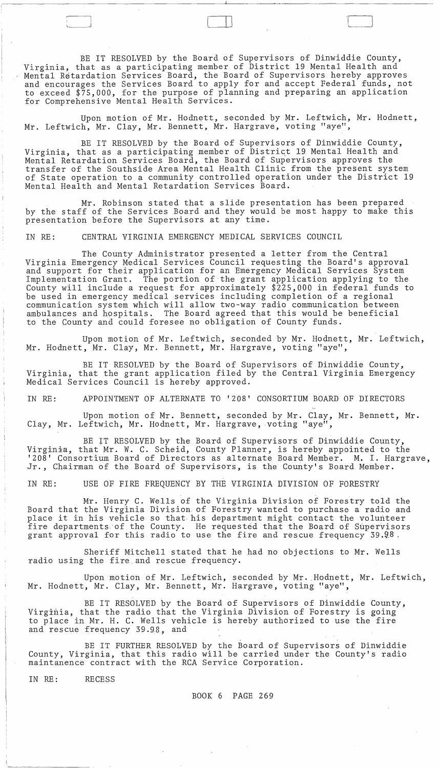BE IT RESOLVED by the Board of Supervisors of Dinwiddie County, Virginia, that as a participating member of District 19 Mental Health and Mental Retardation Services Board, the Board of Supervisors hereby approves and encourages the Services Board to apply for and accept Federal funds, not to exceed \$75,000, for the purpose of planning and preparing an application for Comprehensive Mental Health Services.

 $\Box$ 

Upon motion of Mr. Hodnett, seconded by Mr. Leftwich, Mr. Hodnett, Mr. Leftwich, Mr. Clay, Mr. Bennett, Mr. Hargrave, voting "aye",

BE IT RESOLVED by the Board of Supervisors of Dinwiddie County, Virginia, that as a participating member of District 19 Mental Health and Mental Retardation Services Board, the Board of Supervisors approves the transfer of the Southside Area Mental Health Clinic from the present system of State operation to a community controlled operation under the District 19 Mental Health and Mental Retardation Services Board.

Mr. Robinson stated that a slide presentation has been prepared by the staff of the Services Board and they would be most happy to make this presentation before the Supervisors at any time.

IN RE: CENTRAL VIRGINIA EMERGENCY MEDICAL SERVICES COUNCIL

The County Administrator presented a letter from the Central Virginia Emergency Medical Services Council requesting the Board's approval and support for their application for an Emergency Medical Services System Implementation Grant. The portion of the grant application applying to the County will include a request for approximately  $$225,000$  in federal funds to be used in emergency medical services including completion of a regional communication system which will allow two-way radio communication between ambulances and hospitals. The Board agreed that this would be beneficial to the County and could foresee no obligation of County funds.

Upon motion of Mr. Leftwich, seconded by Mr. Hodnett, Mr. Leftwich, Mr. Hodnett, Mr. Clay, Mr. Bennett, Mr. Hargrave, voting "aye",

BE IT RESOLVED by the Board of Supervisors of Dinwiddie County, Virginia, that the grant application filed by the Central Virginia Emergency Medical Services Council is hereby approved.

IN RE: APPOINTMENT OF ALTERNATE TO '208' CONSORTIUM BOARD OF DIRECTORS

Upon motion of Mr. Bennett, seconded by Mr. Clay, Mr. Bennett, Mr. Clay, Mr. Leftwich, Mr. Hodnett, Mr. Hargrave, voting "aye",

BE IT RESOLVED by the Board of Supervisors of Dinwiddie County, Virginia, that Mr. W. C. Scheid, County Planner, is hereby appointed to the '208' Consortium Board of Directors as alternate Board Member. M. I. Hargrave, Jr., Chairman of the Board of Supervisors, is the County's Board Member.

IN RE: USE OF FIRE FREQUENCY BY THE VIRGINIA DIVISION OF FORESTRY

Mr. Henry C. Wells of the Virginia Division of Forestry told the Board that the Virginia Division of Forestry wanted to purchase a radio and place it in his vehicle so that his department might contact the volunteer fire departments of the County. He requested that the Board of Supervisors grant approval for this radio to use the fire and rescue frequency 39.98.

Sheriff Mitchell stated that he had no objections to Mr. Wells radio using the fire. and rescue frequency.

Upon motion of Mr. Leftwich, seconded by Mr. Hodnett, Mr. Leftwich, Mr. Hodnett, Mr. Clay, Mr. Bennett, Mr. Hargrave, voting "aye",

BE IT RESOLVED by the Board of Supervisors of Dinwiddie County, Virginia, that the radio that the Virginia Division of Forestry is going to place in Mr. H. C. Wells vehicle is hereby authorized to use the fire and rescue frequency 39.98, and

BE IT FURTHER RESOLVED by the Board of Supervisors of Dinwiddie County, Virginia, that this radio will be carried under the County's radio maintanence contract with the RCA Service Corporation.

IN RE: RECESS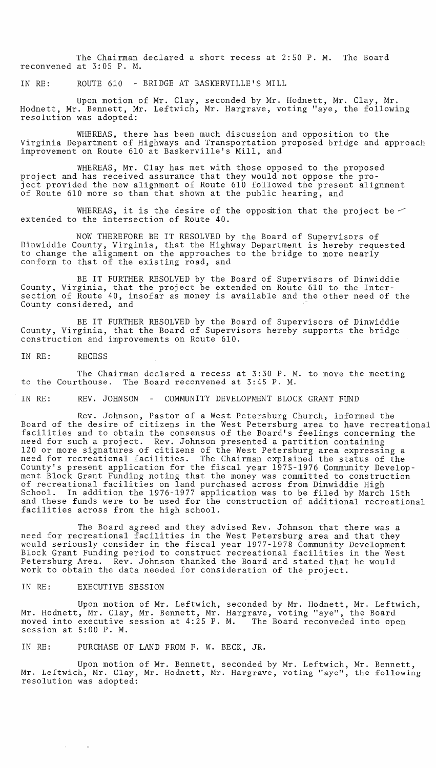The Chairman declared a short recess at 2:50 P. M. The Board reconvened at 3:05 P. M.

IN RE: ROUTE 610 - BRIDGE AT BASKERVILLE'S MILL

Upon motion of Mr. Clay, seconded by Mr. Hodnett, Mr. Clay, Mr. Hodnett, Mr. Bennett, Mr. Leftwich, Mr. Hargrave, voting "aye, the following resolution was adopted:

WHEREAS, there has been much discussion and opposition to the Virginia Department of Highways and Transportation proposed bridge and approach improvement on Route 610 at Baskerville's Mill, and

WHEREAS, Mr. Clay has met with those opposed to the proposed project and has received assurance that they would not oppose the project provided the new alignment of Route 610 followed the present alignment of Route 610 more so than that shown at the public hearing, and

WHEREAS, it is the desire of the opposition that the project be  $\leq$ extended to the intersection of Route 40.

NOW THEREFORE BE IT RESOLVED by the Board of Supervisors of Dinwiddie County, Virginia, that the Highway Department is hereby requested to change the alignment on the approaches to the bridge to more nearly conform to that of the existing road, and

BE IT FURTHER RESOLVED by the Board of Supervisors of Dinwiddie County, Virginia, that the project be extended on Route 610 to the Intersection of Route 40, insofar as money is available and the other need of the County considered, and

BE IT FURTHER RESOLVED by the Board of Supervisors of Dinwiddie County, Virginia, that the Board of Supervisors hereby supports the bridge construction and improvements on Route 610.

IN RE: RECESS

The Chairman declared a recess at 3:30 P. M. to move the meeting to the Courthouse. The Board reconvened at 3:45 P. M.

IN RE: REV. JOHNSON - COMMUNITY DEVELOPMENT BLOCK GRANT FUND

Rev. Johnson, Pastor of a West Petersburg Church, informed the Board of the desire of citizens in the West Petersburg area to have recreational facilities and to obtain the consensus of the Board's feelings concerning the need for such a project. Rev. Johnson presented a partition containing 120 or more signatures of citizens of the West Petersburg area expressing a need for recreational facilities. The Chairman explained the status of the County's present application for the fiscal year 1975-1976 Community Development Block Grant Funding noting that the money was committed to construction of recreational facilities on land purchased across from Dinwiddie High School. In addition the 1976-1977 application was to be filed by March 15th and these funds were to be used for the construction of additional recreational facilities across from the high school.

The Board agreed and they advised Rev. Johnson that there was a need for recreational facilities in the West Petersburg area and that they would seriously consider in the fiscal year 1977-1978 Community Development Block Grant Funding period to construct recreational facilities in the West Petersburg Area. Rev. Johnson thanked the Board and stated that he would work to obtain the data needed for consideration of the project.

IN RE: EXECUTIVE SESSION

Upon motion of Mr. Leftwich, seconded by Mr. Hodnett, Mr. Leftwich, Mr. Hodnett, Mr. Clay, Mr. Bennett, Mr. Hargrave, voting "aye", the Board moved into executive session at 4:25 P. M. The Board reconveded into open session at 5:00 P. M.

IN RE: PURCHASE OF LAND FROM F. W. BECK, JR.

Upon motion of Mr. Bennett, seconded by Mr. Leftwich, Mr. Bennett, Mr. Leftwich, Mr. Clay, Mr. Hodnett, Mr. Hargrave, voting "aye", the following resolution was adopted: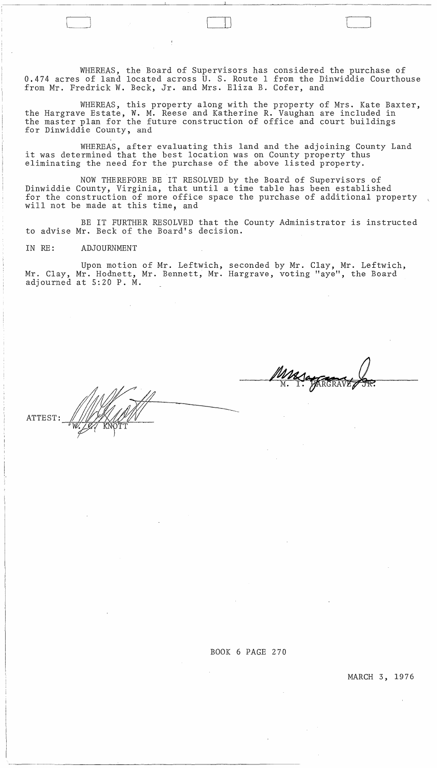WHEREAS, the Board of Supervisors has considered the purchase of 0.474 acres of land located across U. S. Route 1 from the Dinwiddie Courthouse from Mr. Fredrick W. Beck, Jr. and Mrs. Eliza B. Cofer, and

WHEREAS, this property along with the property of Mrs. Kate Baxter, the Hargrave Estate, W. M. Reese and Katherine R. Vaughan are included in the master plan for the future construction of office and court buildings for Dinwiddie County, and

WHEREAS, after evaluating this land and the adjoining County Land it was determined that the best location was on County property thus eliminating the need for the purchase of the above listed property.

NOW THEREFORE BE IT RESOLVED by the Board of Supervisors of Dinwiddie County, Virginia, that until a time table has been established for the construction of more office space the purchase of additional property will not be made at this time, and

BE IT FURTHER RESOLVED that the County Administrator is instructed to advise Mr. Beck of the Board's decision.

IN RE: ADJOURNMENT

Upon motion of Mr. Leftwich, seconded by Mr. Clay, Mr. Leftwich, Mr. Clay, Mr. Hodnett, Mr. Bennett, Mr. Hargrave, voting "aye", the Board adjourned at 5:20 P. M.

MASA REAL

ATTEST:

BOOK 6 PAGE 270

 $\sim 10^6$ 

 $\sim 10^{-10}$ 

 $\sim$ 

MARCH 3, 1976

 $\mathcal{L}^{\text{max}}_{\text{max}}$  and